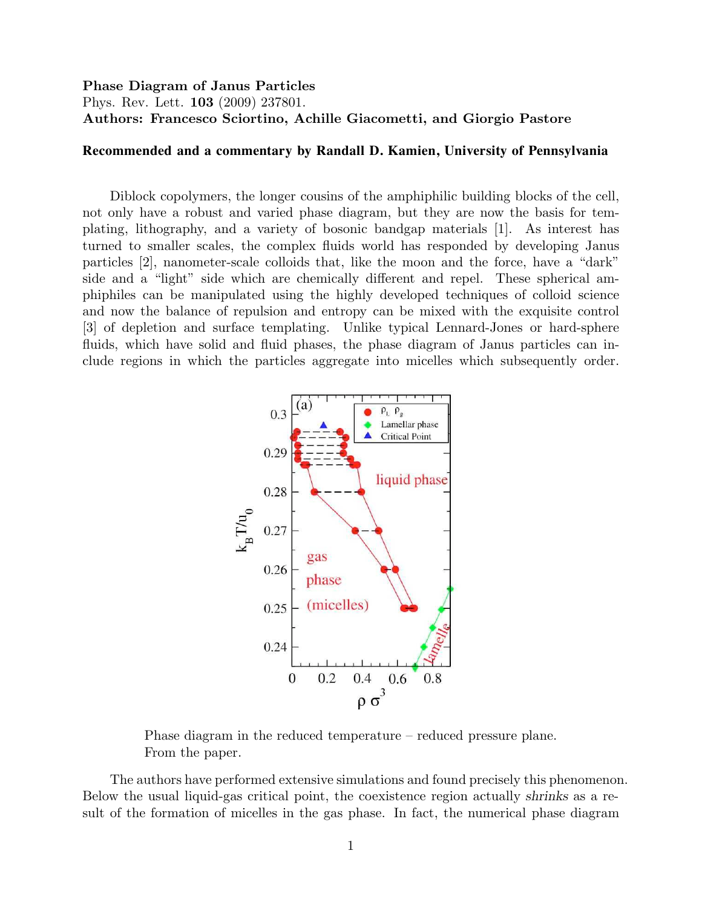## Phase Diagram of Janus Particles

Phys. Rev. Lett. 103 (2009) 237801. Authors: Francesco Sciortino, Achille Giacometti, and Giorgio Pastore

## **Recommended and a commentary by Randall D. Kamien, University of Pennsylvania**

Diblock copolymers, the longer cousins of the amphiphilic building blocks of the cell, not only have a robust and varied phase diagram, but they are now the basis for templating, lithography, and a variety of bosonic bandgap materials [1]. As interest has turned to smaller scales, the complex fluids world has responded by developing Janus particles [2], nanometer-scale colloids that, like the moon and the force, have a "dark" side and a "light" side which are chemically different and repel. These spherical amphiphiles can be manipulated using the highly developed techniques of colloid science and now the balance of repulsion and entropy can be mixed with the exquisite control [3] of depletion and surface templating. Unlike typical Lennard-Jones or hard-sphere fluids, which have solid and fluid phases, the phase diagram of Janus particles can include regions in which the particles aggregate into micelles which subsequently order.



Phase diagram in the reduced temperature – reduced pressure plane. From the paper.

The authors have performed extensive simulations and found precisely this phenomenon. Below the usual liquid-gas critical point, the coexistence region actually shrinks as a result of the formation of micelles in the gas phase. In fact, the numerical phase diagram